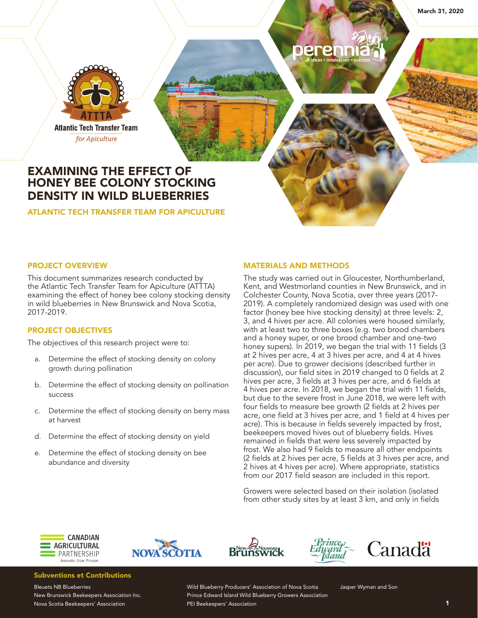

for Apiculture

# EXAMINING THE EFFECT OF HONEY BEE COLONY STOCKING DENSITY IN WILD BLUEBERRIES

ATLANTIC TECH TRANSFER TEAM FOR APICULTURE

# PROJECT OVERVIEW

This document summarizes research conducted by the Atlantic Tech Transfer Team for Apiculture (ATTTA) examining the effect of honey bee colony stocking density in wild blueberries in New Brunswick and Nova Scotia, 2017-2019.

# PROJECT OBJECTIVES

The objectives of this research project were to:

- a. Determine the effect of stocking density on colony growth during pollination
- b. Determine the effect of stocking density on pollination success
- c. Determine the effect of stocking density on berry mass at harvest
- d. Determine the effect of stocking density on yield
- e. Determine the effect of stocking density on bee abundance and diversity

### MATERIALS AND METHODS

erenr

The study was carried out in Gloucester, Northumberland, Kent, and Westmorland counties in New Brunswick, and in Colchester County, Nova Scotia, over three years (2017- 2019). A completely randomized design was used with one factor (honey bee hive stocking density) at three levels: 2, 3, and 4 hives per acre. All colonies were housed similarly, with at least two to three boxes (e.g. two brood chambers and a honey super, or one brood chamber and one-two honey supers). In 2019, we began the trial with 11 fields (3 at 2 hives per acre, 4 at 3 hives per acre, and 4 at 4 hives per acre). Due to grower decisions (described further in discussion), our field sites in 2019 changed to 0 fields at 2 hives per acre, 3 fields at 3 hives per acre, and 6 fields at 4 hives per acre. In 2018, we began the trial with 11 fields, but due to the severe frost in June 2018, we were left with four fields to measure bee growth (2 fields at 2 hives per acre, one field at 3 hives per acre, and 1 field at 4 hives per acre). This is because in fields severely impacted by frost, beekeepers moved hives out of blueberry fields. Hives remained in fields that were less severely impacted by frost. We also had 9 fields to measure all other endpoints (2 fields at 2 hives per acre, 5 fields at 3 hives per acre, and 2 hives at 4 hives per acre). Where appropriate, statistics from our 2017 field season are included in this report.

Growers were selected based on their isolation (isolated from other study sites by at least 3 km, and only in fields









# Subventions et Contributions

Bleuets NB Blueberries New Brunswick Beekeepers Association Inc. Nova Scotia Beekeepers' Association

Wild Blueberry Producers' Association of Nova Scotia Prince Edward Island Wild Blueberry Growers Association PEI Beekeepers' Association

Jasper Wyman and Son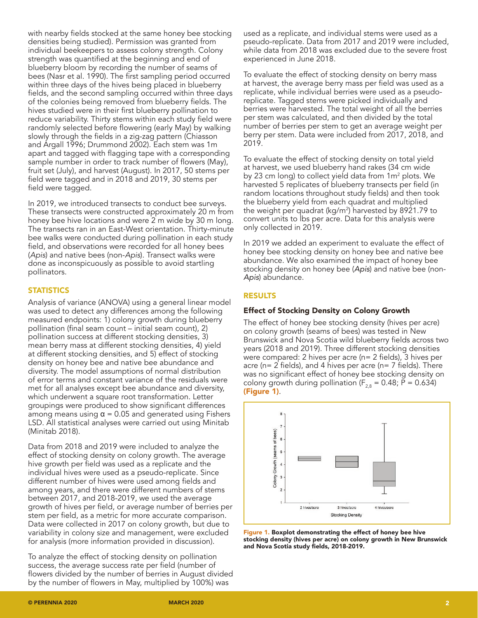with nearby fields stocked at the same honey bee stocking densities being studied). Permission was granted from individual beekeepers to assess colony strength. Colony strength was quantified at the beginning and end of blueberry bloom by recording the number of seams of bees (Nasr et al. 1990). The first sampling period occurred within three days of the hives being placed in blueberry fields, and the second sampling occurred within three days of the colonies being removed from blueberry fields. The hives studied were in their first blueberry pollination to reduce variability. Thirty stems within each study field were randomly selected before flowering (early May) by walking slowly through the fields in a zig-zag pattern (Chiasson and Argall 1996; Drummond 2002). Each stem was 1m apart and tagged with flagging tape with a corresponding sample number in order to track number of flowers (May), fruit set (July), and harvest (August). In 2017, 50 stems per field were tagged and in 2018 and 2019, 30 stems per field were tagged.

In 2019, we introduced transects to conduct bee surveys. These transects were constructed approximately 20 m from honey bee hive locations and were 2 m wide by 30 m long. The transects ran in an East-West orientation. Thirty-minute bee walks were conducted during pollination in each study field, and observations were recorded for all honey bees (*Apis*) and native bees (non-*Apis*). Transect walks were done as inconspicuously as possible to avoid startling pollinators.

## **STATISTICS**

Analysis of variance (ANOVA) using a general linear model was used to detect any differences among the following measured endpoints: 1) colony growth during blueberry pollination (final seam count – initial seam count), 2) pollination success at different stocking densities, 3) mean berry mass at different stocking densities, 4) yield at different stocking densities, and 5) effect of stocking density on honey bee and native bee abundance and diversity. The model assumptions of normal distribution of error terms and constant variance of the residuals were met for all analyses except bee abundance and diversity, which underwent a square root transformation. Letter groupings were produced to show significant differences among means using  $\alpha$  = 0.05 and generated using Fishers LSD. All statistical analyses were carried out using Minitab (Minitab 2018).

Data from 2018 and 2019 were included to analyze the effect of stocking density on colony growth. The average hive growth per field was used as a replicate and the individual hives were used as a pseudo-replicate. Since different number of hives were used among fields and among years, and there were different numbers of stems between 2017, and 2018-2019, we used the average growth of hives per field, or average number of berries per stem per field, as a metric for more accurate comparison. Data were collected in 2017 on colony growth, but due to variability in colony size and management, were excluded for analysis (more information provided in discussion).

To analyze the effect of stocking density on pollination success, the average success rate per field (number of flowers divided by the number of berries in August divided by the number of flowers in May, multiplied by 100%) was

used as a replicate, and individual stems were used as a pseudo-replicate. Data from 2017 and 2019 were included, while data from 2018 was excluded due to the severe frost experienced in June 2018.

To evaluate the effect of stocking density on berry mass at harvest, the average berry mass per field was used as a replicate, while individual berries were used as a pseudoreplicate. Tagged stems were picked individually and berries were harvested. The total weight of all the berries per stem was calculated, and then divided by the total number of berries per stem to get an average weight per berry per stem. Data were included from 2017, 2018, and 2019.

To evaluate the effect of stocking density on total yield at harvest, we used blueberry hand rakes (34 cm wide by 23 cm long) to collect yield data from 1m<sup>2</sup> plots. We harvested 5 replicates of blueberry transects per field (in random locations throughout study fields) and then took the blueberry yield from each quadrat and multiplied the weight per quadrat (kg/m2 ) harvested by 8921.79 to convert units to lbs per acre. Data for this analysis were only collected in 2019.

In 2019 we added an experiment to evaluate the effect of honey bee stocking density on honey bee and native bee abundance. We also examined the impact of honey bee stocking density on honey bee (*Apis*) and native bee (non-*Apis*) abundance.

# RESULTS

## Effect of Stocking Density on Colony Growth

The effect of honey bee stocking density (hives per acre) on colony growth (seams of bees) was tested in New Brunswick and Nova Scotia wild blueberry fields across two years (2018 and 2019). Three different stocking densities were compared: 2 hives per acre (n= 2 fields), 3 hives per acre ( $n= 2$  fields), and 4 hives per acre ( $n= 7$  fields). There was no significant effect of honey bee stocking density on colony growth during pollination ( $F_{2,8} = 0.48$ ; P = 0.634) (Figure 1).



Figure 1. Boxplot demonstrating the effect of honey bee hive stocking density (hives per acre) on colony growth in New Brunswick and Nova Scotia study fields, 2018-2019.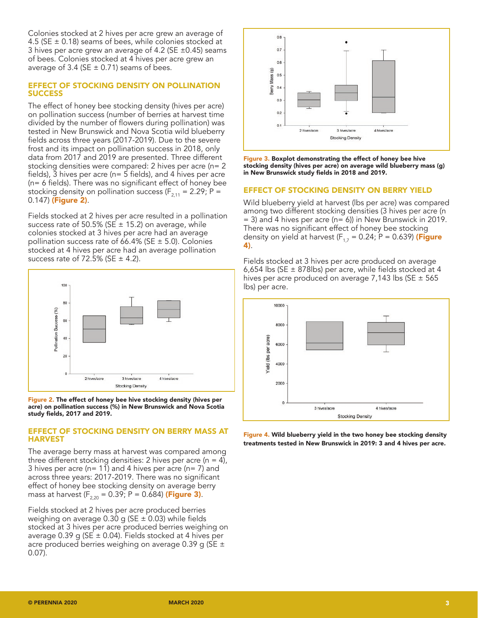Colonies stocked at 2 hives per acre grew an average of 4.5 (SE  $\pm$  0.18) seams of bees, while colonies stocked at 3 hives per acre grew an average of 4.2 (SE ±0.45) seams of bees. Colonies stocked at 4 hives per acre grew an average of 3.4 (SE  $\pm$  0.71) seams of bees.

### EFFECT OF STOCKING DENSITY ON POLLINATION **SUCCESS**

The effect of honey bee stocking density (hives per acre) on pollination success (number of berries at harvest time divided by the number of flowers during pollination) was tested in New Brunswick and Nova Scotia wild blueberry fields across three years (2017-2019). Due to the severe frost and its impact on pollination success in 2018, only data from 2017 and 2019 are presented. Three different stocking densities were compared: 2 hives per acre (n= 2 fields), 3 hives per acre (n= 5 fields), and 4 hives per acre (n= 6 fields). There was no significant effect of honey bee stocking density on pollination success ( $F_{2,11} = 2.29$ ; P = 0.147) (Figure 2).

Fields stocked at 2 hives per acre resulted in a pollination success rate of 50.5% (SE  $\pm$  15.2) on average, while colonies stocked at 3 hives per acre had an average pollination success rate of 66.4% (SE  $\pm$  5.0). Colonies stocked at 4 hives per acre had an average pollination success rate of 72.5% (SE  $\pm$  4.2).



Figure 2. The effect of honey bee hive stocking density (hives per acre) on pollination success (%) in New Brunswick and Nova Scotia study fields, 2017 and 2019.

#### EFFECT OF STOCKING DENSITY ON BERRY MASS AT HARVEST

The average berry mass at harvest was compared among three different stocking densities: 2 hives per acre ( $n = 4$ ), 3 hives per acre ( $n= 11$ ) and 4 hives per acre ( $n= 7$ ) and across three years: 2017-2019. There was no significant effect of honey bee stocking density on average berry mass at harvest  $(F_{2,20} = 0.39; P = 0.684)$  (Figure 3).

Fields stocked at 2 hives per acre produced berries weighing on average 0.30 g ( $SE \pm 0.03$ ) while fields stocked at 3 hives per acre produced berries weighing on average 0.39 g (SE  $\pm$  0.04). Fields stocked at 4 hives per acre produced berries weighing on average 0.39 g (SE  $\pm$ 0.07).



Figure 3. Boxplot demonstrating the effect of honey bee hive stocking density (hives per acre) on average wild blueberry mass (g) in New Brunswick study fields in 2018 and 2019.

#### EFFECT OF STOCKING DENSITY ON BERRY YIELD

Wild blueberry yield at harvest (lbs per acre) was compared among two different stocking densities (3 hives per acre (n  $=$  3) and 4 hives per acre (n= 6)) in New Brunswick in 2019. There was no significant effect of honey bee stocking density on yield at harvest ( $F_{1,7}$  = 0.24; P = 0.639) (Figure 4).

Fields stocked at 3 hives per acre produced on average 6,654 lbs (SE  $\pm$  878lbs) per acre, while fields stocked at 4 hives per acre produced on average 7,143 lbs (SE  $\pm$  565 lbs) per acre.



Figure 4. Wild blueberry yield in the two honey bee stocking density treatments tested in New Brunswick in 2019: 3 and 4 hives per acre.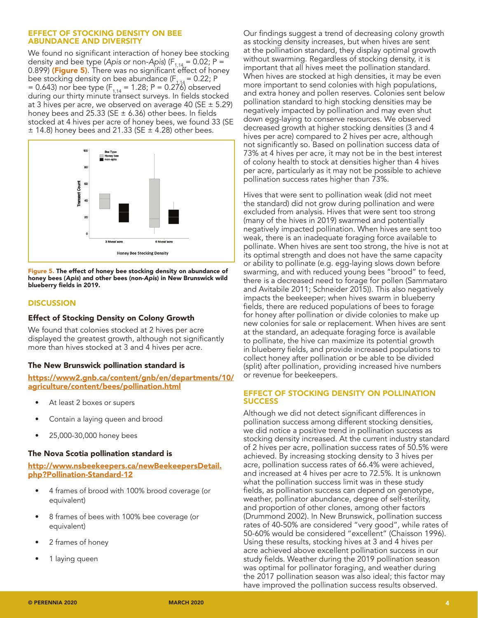#### EFFECT OF STOCKING DENSITY ON BEE ABUNDANCE AND DIVERSITY

We found no significant interaction of honey bee stocking density and bee type (Apis or non-Apis) ( $F_{1,14} = 0.02$ ; P = 0.899) (Figure 5). There was no significant effect of honey bee stocking density on bee abundance ( $F_{1,14} = 0.22$ ; P = 0.643) nor bee type ( $F_{1,14}$  = 1.28; P = 0.276) observed during our thirty minute transect surveys. In fields stocked at 3 hives per acre, we observed on average 40 (SE  $\pm$  5.29) honey bees and 25.33 (SE  $\pm$  6.36) other bees. In fields stocked at 4 hives per acre of honey bees, we found 33 (SE  $\pm$  14.8) honey bees and 21.33 (SE  $\pm$  4.28) other bees.



Figure 5. The effect of honey bee stocking density on abundance of honey bees (*Apis*) and other bees (non-*Apis*) in New Brunswick wild blueberry fields in 2019.

## **DISCUSSION**

## Effect of Stocking Density on Colony Growth

We found that colonies stocked at 2 hives per acre displayed the greatest growth, although not significantly more than hives stocked at 3 and 4 hives per acre.

## The New Brunswick pollination standard is

[https://www2.gnb.ca/content/gnb/en/departments/10/](https://www2.gnb.ca/content/gnb/en/departments/10/agriculture/content/bees/pollination.html) [agriculture/content/bees/pollination.html](https://www2.gnb.ca/content/gnb/en/departments/10/agriculture/content/bees/pollination.html)

- At least 2 boxes or supers
- Contain a laying queen and brood
- 25,000-30,000 honey bees

## The Nova Scotia pollination standard is

[http://www.nsbeekeepers.ca/newBeekeepersDetail.](http://www.nsbeekeepers.ca/newBeekeepersDetail.php?Pollination-Standard-12) [php?Pollination-Standard-12](http://www.nsbeekeepers.ca/newBeekeepersDetail.php?Pollination-Standard-12)

- 4 frames of brood with 100% brood coverage (or equivalent)
- 8 frames of bees with 100% bee coverage (or equivalent)
- 2 frames of honey
- 1 laying queen

Our findings suggest a trend of decreasing colony growth as stocking density increases, but when hives are sent at the pollination standard, they display optimal growth without swarming. Regardless of stocking density, it is important that all hives meet the pollination standard. When hives are stocked at high densities, it may be even more important to send colonies with high populations, and extra honey and pollen reserves. Colonies sent below pollination standard to high stocking densities may be negatively impacted by pollination and may even shut down egg-laying to conserve resources. We observed decreased growth at higher stocking densities (3 and 4 hives per acre) compared to 2 hives per acre, although not significantly so. Based on pollination success data of 73% at 4 hives per acre, it may not be in the best interest of colony health to stock at densities higher than 4 hives per acre, particularly as it may not be possible to achieve pollination success rates higher than 73%.

Hives that were sent to pollination weak (did not meet the standard) did not grow during pollination and were excluded from analysis. Hives that were sent too strong (many of the hives in 2019) swarmed and potentially negatively impacted pollination. When hives are sent too weak, there is an inadequate foraging force available to pollinate. When hives are sent too strong, the hive is not at its optimal strength and does not have the same capacity or ability to pollinate (e.g. egg-laying slows down before swarming, and with reduced young bees "brood" to feed, there is a decreased need to forage for pollen (Sammataro and Avitabile 2011; Schneider 2015)). This also negatively impacts the beekeeper; when hives swarm in blueberry fields, there are reduced populations of bees to forage for honey after pollination or divide colonies to make up new colonies for sale or replacement. When hives are sent at the standard, an adequate foraging force is available to pollinate, the hive can maximize its potential growth in blueberry fields, and provide increased populations to collect honey after pollination or be able to be divided (split) after pollination, providing increased hive numbers or revenue for beekeepers.

### EFFECT OF STOCKING DENSITY ON POLLINATION **SUCCESS**

Although we did not detect significant differences in pollination success among different stocking densities, we did notice a positive trend in pollination success as stocking density increased. At the current industry standard of 2 hives per acre, pollination success rates of 50.5% were achieved. By increasing stocking density to 3 hives per acre, pollination success rates of 66.4% were achieved, and increased at 4 hives per acre to 72.5%. It is unknown what the pollination success limit was in these study fields, as pollination success can depend on genotype, weather, pollinator abundance, degree of self-sterility, and proportion of other clones, among other factors (Drummond 2002). In New Brunswick, pollination success rates of 40-50% are considered "very good", while rates of 50-60% would be considered "excellent" (Chaisson 1996). Using these results, stocking hives at 3 and 4 hives per acre achieved above excellent pollination success in our study fields. Weather during the 2019 pollination season was optimal for pollinator foraging, and weather during the 2017 pollination season was also ideal; this factor may have improved the pollination success results observed.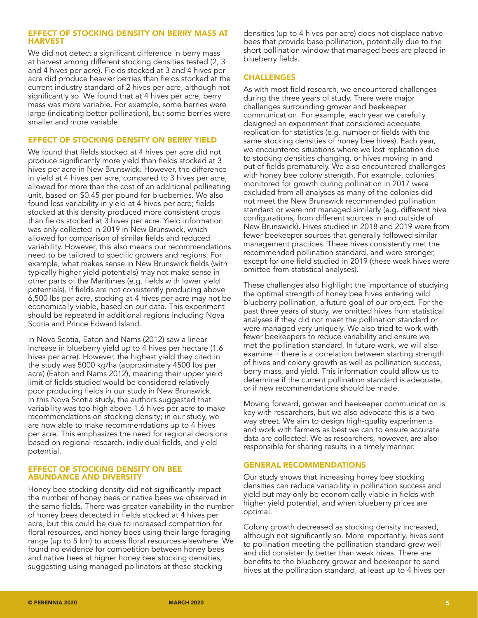## EFFECT OF STOCKING DENSITY ON BERRY MASS AT HARVEST

We did not detect a significant difference in berry mass at harvest among different stocking densities tested (2, 3 and 4 hives per acre). Fields stocked at 3 and 4 hives per acre did produce heavier berries than fields stocked at the current industry standard of 2 hives per acre, although not significantly so. We found that at 4 hives per acre, berry mass was more variable. For example, some berries were large (indicating better pollination), but some berries were smaller and more variable.

# EFFECT OF STOCKING DENSITY ON BERRY YIELD

We found that fields stocked at 4 hives per acre did not produce significantly more yield than fields stocked at 3 hives per acre in New Brunswick. However, the difference in yield at 4 hives per acre, compared to 3 hives per acre, allowed for more than the cost of an additional pollinating unit, based on \$0.45 per pound for blueberries. We also found less variability in yield at 4 hives per acre; fields stocked at this density produced more consistent crops than fields stocked at 3 hives per acre. Yield information was only collected in 2019 in New Brunswick, which allowed for comparison of similar fields and reduced variability. However, this also means our recommendations need to be tailored to specific growers and regions. For example, what makes sense in New Brunswick fields (with typically higher yield potentials) may not make sense in other parts of the Maritimes (e.g. fields with lower yield potentials). If fields are not consistently producing above 6,500 lbs per acre, stocking at 4 hives per acre may not be economically viable, based on our data. This experiment should be repeated in additional regions including Nova Scotia and Prince Edward Island.

In Nova Scotia, Eaton and Nams (2012) saw a linear increase in blueberry yield up to 4 hives per hectare (1.6 hives per acre). However, the highest yield they cited in the study was 5000 kg/ha (approximately 4500 lbs per acre) (Eaton and Nams 2012), meaning their upper yield limit of fields studied would be considered relatively poor producing fields in our study in New Brunswick. In this Nova Scotia study, the authors suggested that variability was too high above 1.6 hives per acre to make recommendations on stocking density; in our study, we are now able to make recommendations up to 4 hives per acre. This emphasizes the need for regional decisions based on regional research, individual fields, and yield potential.

### EFFECT OF STOCKING DENSITY ON BEE ABUNDANCE AND DIVERSITY

Honey bee stocking density did not significantly impact the number of honey bees or native bees we observed in the same fields. There was greater variability in the number of honey bees detected in fields stocked at 4 hives per acre, but this could be due to increased competition for floral resources, and honey bees using their large foraging range (up to 5 km) to access floral resources elsewhere. We found no evidence for competition between honey bees and native bees at higher honey bee stocking densities, suggesting using managed pollinators at these stocking

densities (up to 4 hives per acre) does not displace native bees that provide base pollination, potentially due to the short pollination window that managed bees are placed in blueberry fields.

# CHALLENGES

As with most field research, we encountered challenges during the three years of study. There were major challenges surrounding grower and beekeeper communication. For example, each year we carefully designed an experiment that considered adequate replication for statistics (e.g. number of fields with the same stocking densities of honey bee hives). Each year, we encountered situations where we lost replication due to stocking densities changing, or hives moving in and out of fields prematurely. We also encountered challenges with honey bee colony strength. For example, colonies monitored for growth during pollination in 2017 were excluded from all analyses as many of the colonies did not meet the New Brunswick recommended pollination standard or were not managed similarly (e.g. different hive configurations, from different sources in and outside of New Brunswick). Hives studied in 2018 and 2019 were from fewer beekeeper sources that generally followed similar management practices. These hives consistently met the recommended pollination standard, and were stronger, except for one field studied in 2019 (these weak hives were omitted from statistical analyses).

These challenges also highlight the importance of studying the optimal strength of honey bee hives entering wild blueberry pollination, a future goal of our project. For the past three years of study, we omitted hives from statistical analyses if they did not meet the pollination standard or were managed very uniquely. We also tried to work with fewer beekeepers to reduce variability and ensure we met the pollination standard. In future work, we will also examine if there is a correlation between starting strength of hives and colony growth as well as pollination success, berry mass, and yield. This information could allow us to determine if the current pollination standard is adequate, or if new recommendations should be made.

Moving forward, grower and beekeeper communication is key with researchers, but we also advocate this is a twoway street. We aim to design high-quality experiments and work with farmers as best we can to ensure accurate data are collected. We as researchers, however, are also responsible for sharing results in a timely manner.

## GENERAL RECOMMENDATIONS

Our study shows that increasing honey bee stocking densities can reduce variability in pollination success and yield but may only be economically viable in fields with higher yield potential, and when blueberry prices are optimal.

Colony growth decreased as stocking density increased, although not significantly so. More importantly, hives sent to pollination meeting the pollination standard grew well and did consistently better than weak hives. There are benefits to the blueberry grower and beekeeper to send hives at the pollination standard, at least up to 4 hives per